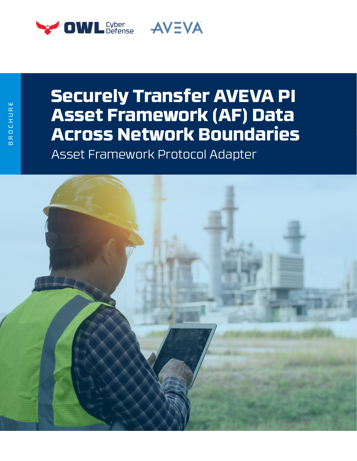

# **Securely Transfer AVEVA PI Asset Framework (AF) Data Across Network Boundaries**

Asset Framework Protocol Adapter

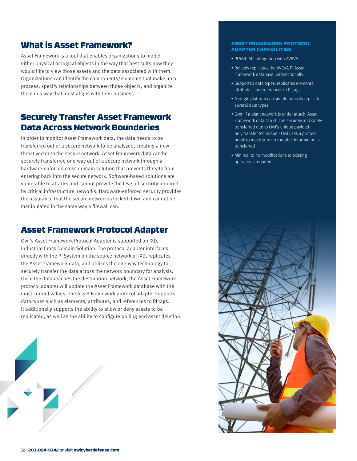# What is Asset Framework?

Asset Framework is a tool that enables organizations to model either physical or logical objects in the way that best suits how they would like to view those assets and the data associated with them. Organizations can identify the components/elements that make up a process, specify relationships between those objects, and organize them in a way that most aligns with their business.

# Securely Transfer Asset Framework Data Across Network Boundaries

In order to monitor Asset Framework data, the data needs to be transferred out of a secure network to be analyzed, creating a new threat vector to the secure network. Asset Framework data can be securely transferred one-way out of a secure network through a hardware-enforced cross domain solution that prevents threats from entering back into the secure network. Software-based solutions are vulnerable to attacks and cannot provide the level of security required by critical infrastructure networks. Hardware-enforced security provides the assurance that the secure network is locked down and cannot be manipulated in the same way a firewall can.

# Asset Framework Protocol Adapter

Owl's Asset Framework Protocol Adapter is supported on IXD, Industrial Cross Domain Solution. The protocol adapter interfaces directly with the PI System on the source network of IXD, replicates the Asset Framework data, and utilizes the one-way technology to securely transfer the data across the network boundary for analysis. Once the data reaches the destination network, the Asset Framework protocol adapter will update the Asset Framework database with the most current values. The Asset Framework protocol adapter supports data types such as elements, attributes, and references to PI tags. It additionally supports the ability to allow or deny assets to be replicated, as well as the ability to configure polling and asset deletion.



#### ASSET FRAMEWORK PROTOCOL ADAPTER CAPABILITIES

- PI Web API integration with AVEVA
- Reliably replicates the AVEVA PI Asset Framework database unidirectionally
- Supported data types: replicates elements, attributes, and references to PI tags
- A single platform can simultaneously replicate several data types
- Even if a plant network is under attack, Asset Framework data can still be securely and safely transferred due to Owl's unique payloadonly transfer technique - Owl uses a protocol break to make sure no routable information is transferred
- Minimal to no modifications to existing operations required

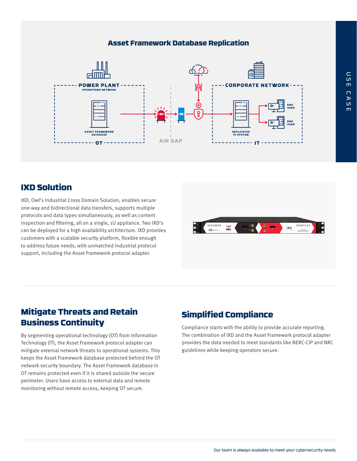### Asset Framework Database Replication

![](_page_2_Figure_1.jpeg)

# IXD Solution

IXD, Owl's Industrial Cross Domain Solution, enables secure one-way and bidirectional data transfers, supports multiple protocols and data types simultaneously, as well as content inspection and filtering, all on a single, 1U appliance. Two IXD's can be deployed for a high availability architecture. IXD provides customers with a scalable security platform, flexible enough to address future needs, with unmatched industrial protocol support, including the Asset Framework protocol adapter.

![](_page_2_Picture_4.jpeg)

# Mitigate Threats and Retain Mitigate Threats and Retain simplified Compliance<br>Business Continuity

By segmenting operational technology (OT) from Information Technology (IT), the Asset Framework protocol adapter can mitigate external network threats to operational systems. This keeps the Asset Framework database protected behind the OT network security boundary. The Asset Framework database in OT remains protected even if it is shared outside the secure perimeter. Users have access to external data and remote monitoring without remote access, keeping OT secure.

Compliance starts with the ability to provide accurate reporting. The combination of IXD and the Asset Framework protocol adapter provides the data needed to meet standards like NERC-CIP and NRC guidelines while keeping operators secure.

 $\blacksquare$